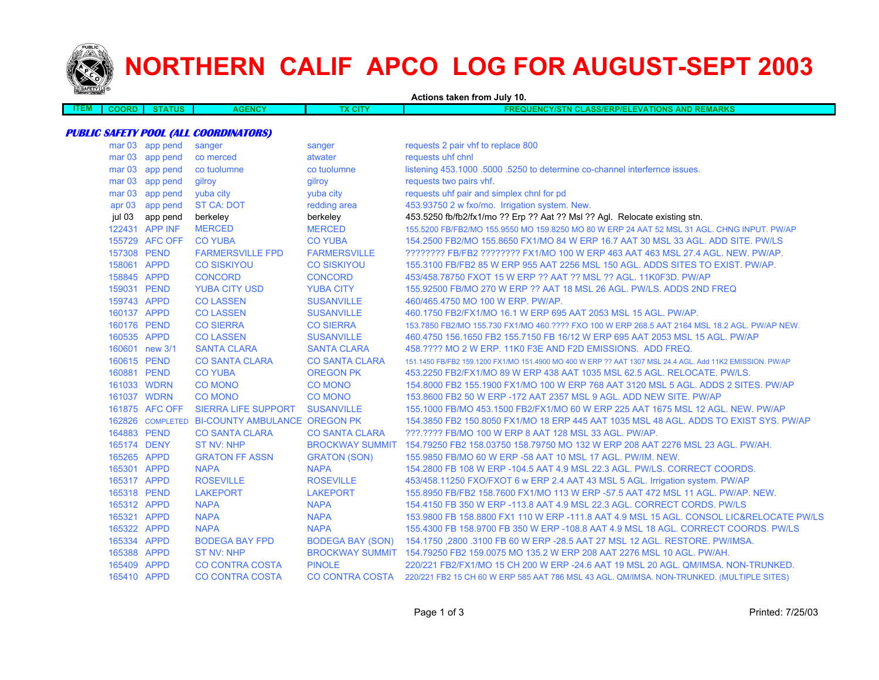

# **NORTHERN CALIF APCO LOG FOR AUGUST-SEPT 2003**

|             |              |                 |                                                | Actions taken from July 10. |                                                                                                          |
|-------------|--------------|-----------------|------------------------------------------------|-----------------------------|----------------------------------------------------------------------------------------------------------|
| <b>ITEM</b> | <b>COORD</b> | <b>STATUS</b>   | <b>AGENCY</b>                                  | <b>TX CITY</b>              | <b>FREQUENCY/STN CLASS/ERP/ELEVATIONS AND REMARKS</b>                                                    |
|             |              |                 |                                                |                             |                                                                                                          |
|             |              |                 | <b>PUBLIC SAFETY POOL (ALL COORDINATORS)</b>   |                             |                                                                                                          |
|             |              | mar 03 app pend | sanger                                         | sanger                      | requests 2 pair vhf to replace 800                                                                       |
|             |              | mar 03 app pend | co merced                                      | atwater                     | requests uhf chnl                                                                                        |
|             |              | mar 03 app pend | co tuolumne                                    | co tuolumne                 | listening 453.1000 .5000 .5250 to determine co-channel interfernce issues.                               |
|             |              | mar 03 app pend | gilroy                                         | gilroy                      | requests two pairs vhf.                                                                                  |
|             |              | mar 03 app pend | yuba city                                      | yuba city                   | requests uhf pair and simplex chnl for pd                                                                |
|             |              | apr 03 app pend | <b>ST CA: DOT</b>                              | redding area                | 453.93750 2 w fxo/mo. Irrigation system. New.                                                            |
|             | jul 03       | app pend        | berkeley                                       | berkeley                    | 453.5250 fb/fb2/fx1/mo ?? Erp ?? Aat ?? Msl ?? Agl. Relocate existing stn.                               |
|             |              | 122431 APP INF  | <b>MERCED</b>                                  | <b>MERCED</b>               | 155.5200 FB/FB2/MO 155.9550 MO 159.8250 MO 80 W ERP 24 AAT 52 MSL 31 AGL. CHNG INPUT. PW/AP              |
|             |              | 155729 AFC OFF  | <b>CO YUBA</b>                                 | <b>CO YUBA</b>              | 154.2500 FB2/MO 155.8650 FX1/MO 84 W ERP 16.7 AAT 30 MSL 33 AGL. ADD SITE. PW/LS                         |
|             | 157308 PEND  |                 | <b>FARMERSVILLE FPD</b>                        | <b>FARMERSVILLE</b>         | ???????? FB/FB2 ???????? FX1/MO 100 W ERP 463 AAT 463 MSL 27.4 AGL. NEW. PW/AP.                          |
|             | 158061 APPD  |                 | <b>CO SISKIYOU</b>                             | <b>CO SISKIYOU</b>          | 155.3100 FB/FB2 85 W ERP 955 AAT 2256 MSL 150 AGL. ADDS SITES TO EXIST. PW/AP.                           |
|             | 158845 APPD  |                 | <b>CONCORD</b>                                 | <b>CONCORD</b>              | 453/458.78750 FXOT 15 W ERP ?? AAT ?? MSL ?? AGL. 11K0F3D. PW/AP                                         |
|             | 159031 PEND  |                 | <b>YUBA CITY USD</b>                           | <b>YUBA CITY</b>            | 155.92500 FB/MO 270 W ERP ?? AAT 18 MSL 26 AGL. PW/LS. ADDS 2ND FREQ                                     |
|             | 159743 APPD  |                 | <b>CO LASSEN</b>                               | <b>SUSANVILLE</b>           | 460/465.4750 MO 100 W ERP. PW/AP.                                                                        |
|             | 160137 APPD  |                 | <b>CO LASSEN</b>                               | <b>SUSANVILLE</b>           | 460.1750 FB2/FX1/MO 16.1 W ERP 695 AAT 2053 MSL 15 AGL. PW/AP.                                           |
|             | 160176 PEND  |                 | <b>CO SIERRA</b>                               | <b>CO SIERRA</b>            | 153.7850 FB2/MO 155.730 FX1/MO 460.???? FXO 100 W ERP 268.5 AAT 2164 MSL 18.2 AGL. PW/AP NEW.            |
|             | 160535 APPD  |                 | <b>CO LASSEN</b>                               | <b>SUSANVILLE</b>           | 460.4750 156.1650 FB2 155.7150 FB 16/12 W ERP 695 AAT 2053 MSL 15 AGL. PW/AP                             |
|             |              | 160601 new 3/1  | <b>SANTA CLARA</b>                             | <b>SANTA CLARA</b>          | 458.???? MO 2 W ERP. 11K0 F3E AND F2D EMISSIONS. ADD FREQ.                                               |
|             | 160615 PEND  |                 | <b>CO SANTA CLARA</b>                          | <b>CO SANTA CLARA</b>       | 151.1450 FB/FB2 159.1200 FX1/MO 151.4900 MO 400 W ERP ?? AAT 1307 MSL 24.4 AGL. Add 11K2 EMISSION. PW/AP |
|             | 160881 PEND  |                 | <b>CO YUBA</b>                                 | <b>OREGON PK</b>            | 453.2250 FB2/FX1/MO 89 W ERP 438 AAT 1035 MSL 62.5 AGL. RELOCATE. PW/LS.                                 |
|             | 161033 WDRN  |                 | <b>CO MONO</b>                                 | <b>CO MONO</b>              | 154,8000 FB2 155,1900 FX1/MO 100 W ERP 768 AAT 3120 MSL 5 AGL, ADDS 2 SITES, PW/AP                       |
|             | 161037 WDRN  |                 | <b>CO MONO</b>                                 | <b>CO MONO</b>              | 153,8600 FB2 50 W ERP -172 AAT 2357 MSL 9 AGL, ADD NEW SITE, PW/AP                                       |
|             |              | 161875 AFC OFF  | <b>SIERRA LIFE SUPPORT</b>                     | <b>SUSANVILLE</b>           | 155.1000 FB/MO 453.1500 FB2/FX1/MO 60 W ERP 225 AAT 1675 MSL 12 AGL. NEW. PW/AP                          |
|             |              |                 | 162826 COMPLETED BI-COUNTY AMBULANCE OREGON PK |                             | 154,3850 FB2 150,8050 FX1/MO 18 ERP 445 AAT 1035 MSL 48 AGL, ADDS TO EXIST SYS, PW/AP                    |
|             | 164883 PEND  |                 | <b>CO SANTA CLARA</b>                          | <b>CO SANTA CLARA</b>       | ???.???? FB/MO 100 W ERP 8 AAT 128 MSL 33 AGL. PW/AP.                                                    |
|             | 165174 DENY  |                 | <b>ST NV: NHP</b>                              |                             | BROCKWAY SUMMIT 154.79250 FB2 158.03750 158.79750 MO 132 W ERP 208 AAT 2276 MSL 23 AGL. PW/AH.           |
|             | 165265 APPD  |                 | <b>GRATON FF ASSN</b>                          | <b>GRATON (SON)</b>         | 155,9850 FB/MO 60 W ERP -58 AAT 10 MSL 17 AGL, PW/IM, NEW.                                               |
|             | 165301 APPD  |                 | <b>NAPA</b>                                    | <b>NAPA</b>                 | 154.2800 FB 108 W ERP -104.5 AAT 4.9 MSL 22.3 AGL. PW/LS. CORRECT COORDS.                                |
|             | 165317 APPD  |                 | <b>ROSEVILLE</b>                               | <b>ROSEVILLE</b>            | 453/458.11250 FXO/FXOT 6 w ERP 2.4 AAT 43 MSL 5 AGL. Irrigation system. PW/AP                            |
|             | 165318 PEND  |                 | <b>LAKEPORT</b>                                | <b>LAKEPORT</b>             | 155.8950 FB/FB2 158.7600 FX1/MO 113 W ERP -57.5 AAT 472 MSL 11 AGL. PW/AP. NEW.                          |
|             | 165312 APPD  |                 | <b>NAPA</b>                                    | <b>NAPA</b>                 | 154.4150 FB 350 W ERP -113.8 AAT 4.9 MSL 22.3 AGL. CORRECT CORDS. PW/LS                                  |
|             | 165321 APPD  |                 | <b>NAPA</b>                                    | <b>NAPA</b>                 | 153.9800 FB 158.8800 FX1 110 W ERP -111.8 AAT 4.9 MSL 15 AGL. CONSOL LIC&RELOCATE PW/LS                  |
|             | 165322 APPD  |                 | <b>NAPA</b>                                    | <b>NAPA</b>                 | 155.4300 FB 158.9700 FB 350 W ERP -108.8 AAT 4.9 MSL 18 AGL. CORRECT COORDS. PW/LS                       |
|             | 165334 APPD  |                 | <b>BODEGA BAY FPD</b>                          | <b>BODEGA BAY (SON)</b>     | 154.1750, 2800, 3100 FB 60 W ERP - 28.5 AAT 27 MSL 12 AGL. RESTORE. PW/IMSA.                             |
|             | 165388 APPD  |                 | <b>ST NV: NHP</b>                              |                             | BROCKWAY SUMMIT 154.79250 FB2 159.0075 MO 135.2 W ERP 208 AAT 2276 MSL 10 AGL. PW/AH.                    |
|             | 165409 APPD  |                 | <b>CO CONTRA COSTA</b>                         | <b>PINOLE</b>               | 220/221 FB2/FX1/MO 15 CH 200 W ERP -24.6 AAT 19 MSL 20 AGL. QM/IMSA. NON-TRUNKED.                        |
|             | 165410 APPD  |                 | <b>CO CONTRA COSTA</b>                         | <b>CO CONTRA COSTA</b>      | 220/221 FB2 15 CH 60 W ERP 585 AAT 786 MSL 43 AGL. QM/IMSA. NON-TRUNKED. (MULTIPLE SITES)                |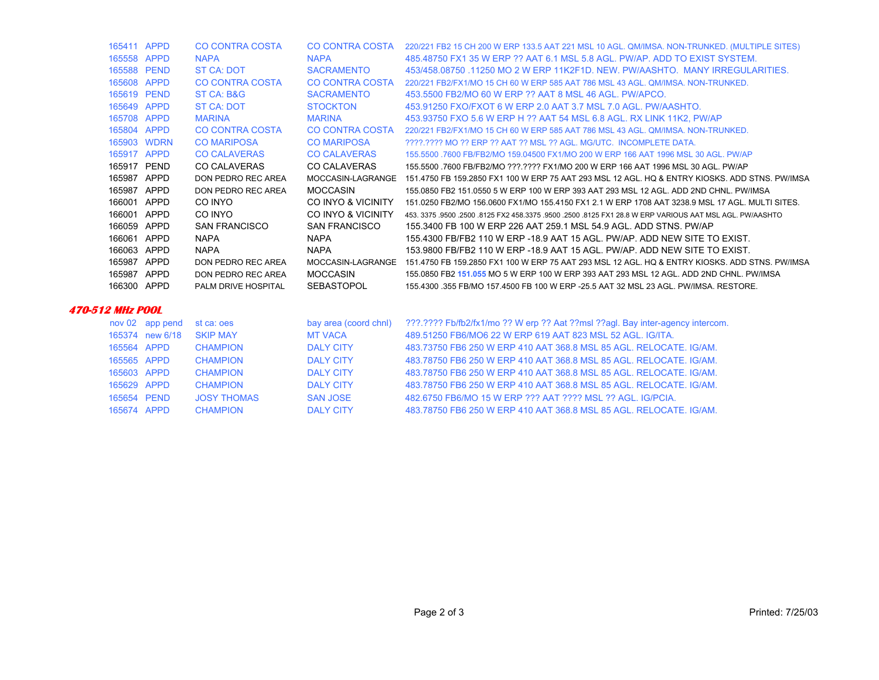| 166001<br>166001 APPD<br>166059<br>166061<br>166063 APPD<br>165987<br>165987<br>166300 APPD | APPD<br>APPD<br>APPD<br>APPD<br>APPD | CO INYO<br>CO INYO<br><b>SAN FRANCISCO</b><br><b>NAPA</b><br><b>NAPA</b><br>DON PEDRO REC AREA<br>DON PEDRO REC AREA<br>PALM DRIVE HOSPITAL | CO INYO & VICINITY<br>CO INYO & VICINITY<br><b>SAN FRANCISCO</b><br><b>NAPA</b><br><b>NAPA</b><br>MOCCASIN-LAGRANGE<br><b>MOCCASIN</b><br>SEBASTOPOL | 151.0250 FB2/MO 156.0600 FX1/MO 155.4150 FX1 2.1 W ERP 1708 AAT 3238.9 MSL 17 AGL. MULTI SITES.<br>453, 3375, 9500, 2500, 8125 FX2 458, 3375, 9500, 2500, 8125 FX1 28.8 W ERP VARIOUS AAT MSL AGL, PW/AASHTO<br>155,3400 FB 100 W ERP 226 AAT 259.1 MSL 54.9 AGL, ADD STNS, PW/AP<br>155,4300 FB/FB2 110 W ERP -18.9 AAT 15 AGL. PW/AP, ADD NEW SITE TO EXIST.<br>153,9800 FB/FB2 110 W ERP -18.9 AAT 15 AGL. PW/AP. ADD NEW SITE TO EXIST.<br>151.4750 FB 159.2850 FX1 100 W ERP 75 AAT 293 MSL 12 AGL. HO & ENTRY KIOSKS, ADD STNS, PW/IMSA<br>155,0850 FB2 151,055 MO 5 W ERP 100 W ERP 393 AAT 293 MSL 12 AGL. ADD 2ND CHNL, PW/IMSA<br>155,4300, 355 FB/MO 157,4500 FB 100 W ERP -25.5 AAT 32 MSL 23 AGL, PW/IMSA, RESTORE. |
|---------------------------------------------------------------------------------------------|--------------------------------------|---------------------------------------------------------------------------------------------------------------------------------------------|------------------------------------------------------------------------------------------------------------------------------------------------------|----------------------------------------------------------------------------------------------------------------------------------------------------------------------------------------------------------------------------------------------------------------------------------------------------------------------------------------------------------------------------------------------------------------------------------------------------------------------------------------------------------------------------------------------------------------------------------------------------------------------------------------------------------------------------------------------------------------------------------|
|                                                                                             |                                      |                                                                                                                                             |                                                                                                                                                      |                                                                                                                                                                                                                                                                                                                                                                                                                                                                                                                                                                                                                                                                                                                                  |
|                                                                                             |                                      |                                                                                                                                             |                                                                                                                                                      |                                                                                                                                                                                                                                                                                                                                                                                                                                                                                                                                                                                                                                                                                                                                  |
|                                                                                             |                                      |                                                                                                                                             |                                                                                                                                                      |                                                                                                                                                                                                                                                                                                                                                                                                                                                                                                                                                                                                                                                                                                                                  |
|                                                                                             |                                      |                                                                                                                                             |                                                                                                                                                      |                                                                                                                                                                                                                                                                                                                                                                                                                                                                                                                                                                                                                                                                                                                                  |
|                                                                                             |                                      |                                                                                                                                             |                                                                                                                                                      |                                                                                                                                                                                                                                                                                                                                                                                                                                                                                                                                                                                                                                                                                                                                  |
|                                                                                             |                                      |                                                                                                                                             |                                                                                                                                                      |                                                                                                                                                                                                                                                                                                                                                                                                                                                                                                                                                                                                                                                                                                                                  |
|                                                                                             |                                      |                                                                                                                                             |                                                                                                                                                      |                                                                                                                                                                                                                                                                                                                                                                                                                                                                                                                                                                                                                                                                                                                                  |
|                                                                                             |                                      |                                                                                                                                             |                                                                                                                                                      |                                                                                                                                                                                                                                                                                                                                                                                                                                                                                                                                                                                                                                                                                                                                  |
| 165987                                                                                      | APPD                                 | DON PEDRO REC AREA                                                                                                                          | <b>MOCCASIN</b>                                                                                                                                      | 155,0850 FB2 151,0550 5 W ERP 100 W ERP 393 AAT 293 MSL 12 AGL, ADD 2ND CHNL, PW/IMSA                                                                                                                                                                                                                                                                                                                                                                                                                                                                                                                                                                                                                                            |
| 165987                                                                                      | APPD                                 | DON PEDRO REC AREA                                                                                                                          | MOCCASIN-LAGRANGE                                                                                                                                    | 151.4750 FB 159.2850 FX1 100 W ERP 75 AAT 293 MSL 12 AGL. HO & ENTRY KIOSKS, ADD STNS, PW/IMSA                                                                                                                                                                                                                                                                                                                                                                                                                                                                                                                                                                                                                                   |
| 165917 PEND                                                                                 |                                      | <b>CO CALAVERAS</b>                                                                                                                         | CO CALAVERAS                                                                                                                                         | 155,5500, 7600 FB/FB2/MO ???.???? FX1/MO 200 W ERP 166 AAT 1996 MSL 30 AGL, PW/AP                                                                                                                                                                                                                                                                                                                                                                                                                                                                                                                                                                                                                                                |
| 165917 APPD                                                                                 |                                      | <b>CO CALAVERAS</b>                                                                                                                         | <b>CO CALAVERAS</b>                                                                                                                                  | 155,5500, 7600 FB/FB2/MO 159,04500 FX1/MO 200 W ERP 166 AAT 1996 MSL 30 AGL, PW/AP                                                                                                                                                                                                                                                                                                                                                                                                                                                                                                                                                                                                                                               |
|                                                                                             | 165903 WDRN                          | <b>CO MARIPOSA</b>                                                                                                                          | <b>CO MARIPOSA</b>                                                                                                                                   | 2222.2222 MO 22 ERP 22 AAT 22 MSL 22 AGL, MG/UTC. INCOMPLETE DATA.                                                                                                                                                                                                                                                                                                                                                                                                                                                                                                                                                                                                                                                               |
| 165804 APPD                                                                                 |                                      | <b>CO CONTRA COSTA</b>                                                                                                                      | <b>CO CONTRA COSTA</b>                                                                                                                               | 220/221 FB2/FX1/MO 15 CH 60 W ERP 585 AAT 786 MSL 43 AGL, OM/IMSA, NON-TRUNKED.                                                                                                                                                                                                                                                                                                                                                                                                                                                                                                                                                                                                                                                  |
| 165708 APPD                                                                                 |                                      | <b>MARINA</b>                                                                                                                               | <b>MARINA</b>                                                                                                                                        | 453.93750 FXO 5.6 W ERP H ?? AAT 54 MSL 6.8 AGL. RX LINK 11K2, PW/AP                                                                                                                                                                                                                                                                                                                                                                                                                                                                                                                                                                                                                                                             |
| 165649 APPD                                                                                 |                                      | ST CA: DOT                                                                                                                                  | <b>STOCKTON</b>                                                                                                                                      | 453.91250 FXO/FXOT 6 W ERP 2.0 AAT 3.7 MSL 7.0 AGL, PW/AASHTO.                                                                                                                                                                                                                                                                                                                                                                                                                                                                                                                                                                                                                                                                   |
| 165619 PEND                                                                                 |                                      | ST CA: B&G                                                                                                                                  | <b>SACRAMENTO</b>                                                                                                                                    | 453,5500 FB2/MO 60 W ERP ?? AAT 8 MSL 46 AGL, PW/APCO.                                                                                                                                                                                                                                                                                                                                                                                                                                                                                                                                                                                                                                                                           |
| 165608 APPD                                                                                 |                                      | <b>CO CONTRA COSTA</b>                                                                                                                      | CO CONTRA COSTA                                                                                                                                      | 220/221 FB2/FX1/MO 15 CH 60 W ERP 585 AAT 786 MSL 43 AGL, OM/IMSA, NON-TRUNKED.                                                                                                                                                                                                                                                                                                                                                                                                                                                                                                                                                                                                                                                  |
| 165588 PEND                                                                                 |                                      | ST CA: DOT                                                                                                                                  | <b>SACRAMENTO</b>                                                                                                                                    | 453/458,08750,11250 MO 2 W ERP 11K2F1D, NEW, PW/AASHTO, MANY IRREGULARITIES.                                                                                                                                                                                                                                                                                                                                                                                                                                                                                                                                                                                                                                                     |
| 165558 APPD                                                                                 |                                      | <b>NAPA</b>                                                                                                                                 | <b>NAPA</b>                                                                                                                                          | 485.48750 FX1 35 W ERP ?? AAT 6.1 MSL 5.8 AGL. PW/AP, ADD TO EXIST SYSTEM.                                                                                                                                                                                                                                                                                                                                                                                                                                                                                                                                                                                                                                                       |
|                                                                                             | 165411 APPD                          | <b>CO CONTRA COSTA</b>                                                                                                                      | CO CONTRA COSTA                                                                                                                                      | 220/221 FB2 15 CH 200 W ERP 133.5 AAT 221 MSL 10 AGL. QM/IMSA. NON-TRUNKED. (MULTIPLE SITES)                                                                                                                                                                                                                                                                                                                                                                                                                                                                                                                                                                                                                                     |

#### **470-512 MHz POOL**

|             | nov 02 app pend | st ca: oes         | bay area (coord chnl) | ???.???? Fb/fb2/fx1/mo ?? W erp ?? Aat ??msl ??agl. Bay inter-agency intercom. |
|-------------|-----------------|--------------------|-----------------------|--------------------------------------------------------------------------------|
|             | 165374 new 6/18 | <b>SKIP MAY</b>    | <b>MT VACA</b>        | 489.51250 FB6/MO6 22 W ERP 619 AAT 823 MSL 52 AGL, IG/ITA.                     |
| 165564 APPD |                 | <b>CHAMPION</b>    | <b>DALY CITY</b>      | 483.73750 FB6 250 W ERP 410 AAT 368.8 MSL 85 AGL, RELOCATE, IG/AM.             |
| 165565 APPD |                 | <b>CHAMPION</b>    | <b>DALY CITY</b>      | 483.78750 FB6 250 W ERP 410 AAT 368.8 MSL 85 AGL, RELOCATE, IG/AM.             |
| 165603 APPD |                 | <b>CHAMPION</b>    | DAI Y CITY            | 483.78750 FB6 250 W ERP 410 AAT 368.8 MSL 85 AGL, RELOCATE, IG/AM.             |
| 165629 APPD |                 | <b>CHAMPION</b>    | DAI Y CITY            | 483.78750 FB6 250 W ERP 410 AAT 368.8 MSL 85 AGL, RELOCATE, IG/AM.             |
| 165654 PEND |                 | <b>JOSY THOMAS</b> | <b>SAN JOSE</b>       | 482.6750 FB6/MO 15 W ERP ??? AAT ???? MSL ?? AGL, IG/PCIA.                     |
| 165674 APPD |                 | <b>CHAMPION</b>    | <b>DALY CITY</b>      | 483.78750 FB6 250 W ERP 410 AAT 368.8 MSL 85 AGL. RELOCATE, IG/AM.             |